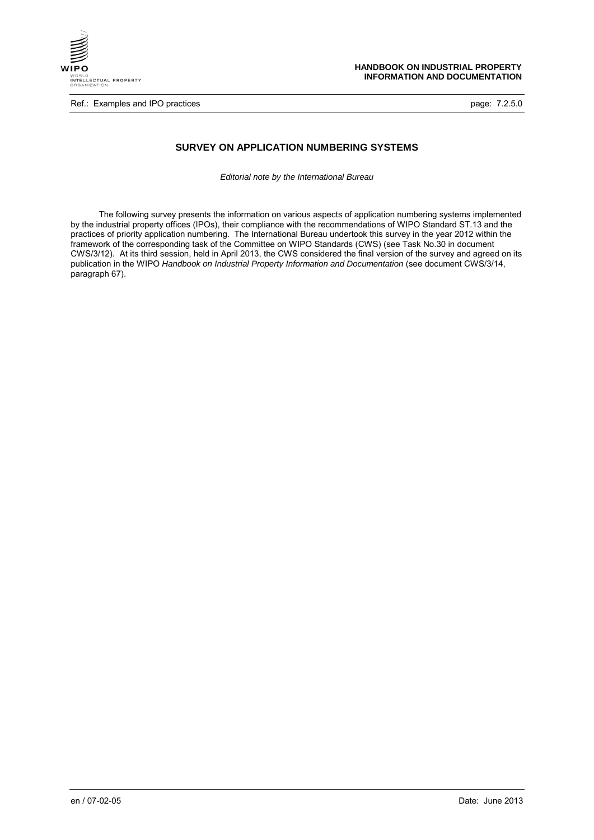

Ref.: Examples and IPO practices **page: 7.2.5.0** page: 7.2.5.0

# **SURVEY ON APPLICATION NUMBERING SYSTEMS**

*Editorial note by the International Bureau*

The following survey presents the information on various aspects of application numbering systems implemented by the industrial property offices (IPOs), their compliance with the recommendations of WIPO Standard ST.13 and the practices of priority application numbering. The International Bureau undertook this survey in the year 2012 within the framework of the corresponding task of the Committee on WIPO Standards (CWS) (see Task No.30 in document CWS/3/12). At its third session, held in April 2013, the CWS considered the final version of the survey and agreed on its publication in the WIPO *Handbook on Industrial Property Information and Documentation* (see document CWS/3/14, paragraph 67).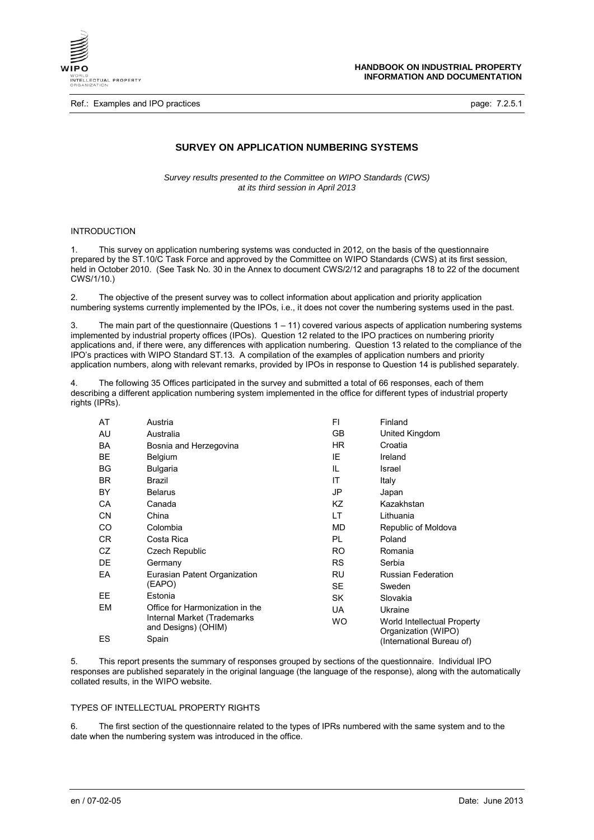

Ref.: Examples and IPO practices **page: 7.2.5.1 page: 7.2.5.1** 

# **SURVEY ON APPLICATION NUMBERING SYSTEMS**

*Survey results presented to the Committee on WIPO Standards (CWS) at its third session in April 2013*

## INTRODUCTION

1. This survey on application numbering systems was conducted in 2012, on the basis of the questionnaire prepared by the ST.10/C Task Force and approved by the Committee on WIPO Standards (CWS) at its first session, held in October 2010. (See Task No. 30 in the Annex to document CWS/2/12 and paragraphs 18 to 22 of the document CWS/1/10.)

2. The objective of the present survey was to collect information about application and priority application numbering systems currently implemented by the IPOs, i.e., it does not cover the numbering systems used in the past.

3. The main part of the questionnaire (Questions 1 – 11) covered various aspects of application numbering systems implemented by industrial property offices (IPOs). Question 12 related to the IPO practices on numbering priority applications and, if there were, any differences with application numbering. Question 13 related to the compliance of the IPO's practices with WIPO Standard ST.13. A compilation of the examples of application numbers and priority application numbers, along with relevant remarks, provided by IPOs in response to Question 14 is published separately.

4. The following 35 Offices participated in the survey and submitted a total of 66 responses, each of them describing a different application numbering system implemented in the office for different types of industrial property rights (IPRs).

| AT        | Austria                                            | FI        | Finland                                            |
|-----------|----------------------------------------------------|-----------|----------------------------------------------------|
| AU        | Australia                                          | GB.       | United Kingdom                                     |
| <b>BA</b> | Bosnia and Herzegovina                             | HR.       | Croatia                                            |
| BE        | Belgium                                            | IE        | Ireland                                            |
| BG        | <b>Bulgaria</b>                                    | IL        | Israel                                             |
| <b>BR</b> | Brazil                                             | ΙT        | Italy                                              |
| BY        | <b>Belarus</b>                                     | JP        | Japan                                              |
| CA        | Canada                                             | ΚZ        | Kazakhstan                                         |
| CΝ        | China                                              | LT        | Lithuania                                          |
| CO        | Colombia                                           | MD.       | Republic of Moldova                                |
| CR.       | Costa Rica                                         | PL        | Poland                                             |
| CZ        | Czech Republic                                     | RO.       | Romania                                            |
| DE        | Germany                                            | RS.       | Serbia                                             |
| EA        | Eurasian Patent Organization                       | RU        | <b>Russian Federation</b>                          |
|           | (EAPO)                                             | SE.       | Sweden                                             |
| EE        | Estonia                                            | SK.       | Slovakia                                           |
| EM        | Office for Harmonization in the                    | UA        | Ukraine                                            |
|           | Internal Market (Trademarks<br>and Designs) (OHIM) | <b>WO</b> | World Intellectual Property<br>Organization (WIPO) |
| ES        | Spain                                              |           | (International Bureau of)                          |

5. This report presents the summary of responses grouped by sections of the questionnaire. Individual IPO responses are published separately in the original language (the language of the response), along with the automatically collated results, in the WIPO website.

#### TYPES OF INTELLECTUAL PROPERTY RIGHTS

6. The first section of the questionnaire related to the types of IPRs numbered with the same system and to the date when the numbering system was introduced in the office.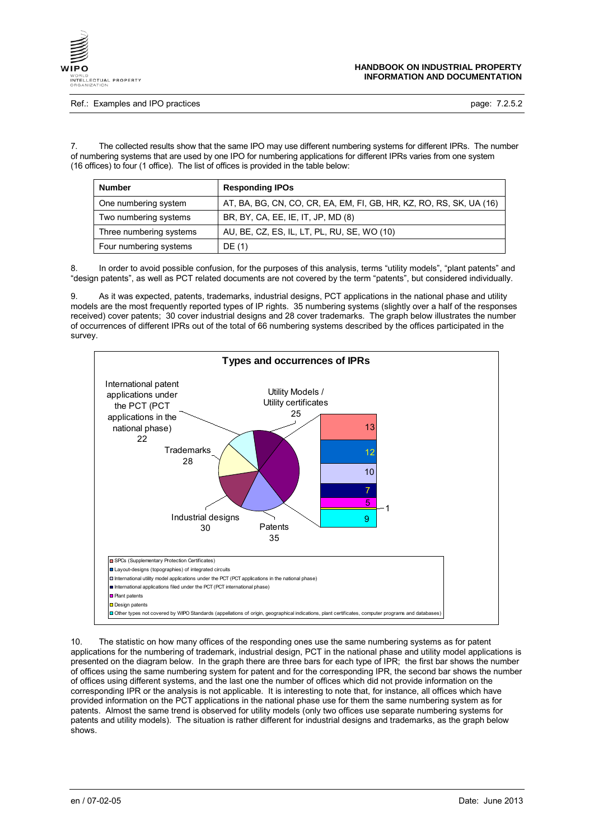

Ref.: Examples and IPO practices **page: 7.2.5.2** page: 7.2.5.2

7. The collected results show that the same IPO may use different numbering systems for different IPRs. The number of numbering systems that are used by one IPO for numbering applications for different IPRs varies from one system (16 offices) to four (1 office). The list of offices is provided in the table below:

| <b>Number</b>           | <b>Responding IPOs</b>                                              |  |  |
|-------------------------|---------------------------------------------------------------------|--|--|
| One numbering system    | AT, BA, BG, CN, CO, CR, EA, EM, FI, GB, HR, KZ, RO, RS, SK, UA (16) |  |  |
| Two numbering systems   | BR, BY, CA, EE, IE, IT, JP, MD (8)                                  |  |  |
| Three numbering systems | AU, BE, CZ, ES, IL, LT, PL, RU, SE, WO (10)                         |  |  |
| Four numbering systems  | DE (1)                                                              |  |  |

In order to avoid possible confusion, for the purposes of this analysis, terms "utility models", "plant patents" and "design patents", as well as PCT related documents are not covered by the term "patents", but considered individually.

9. As it was expected, patents, trademarks, industrial designs, PCT applications in the national phase and utility models are the most frequently reported types of IP rights. 35 numbering systems (slightly over a half of the responses received) cover patents; 30 cover industrial designs and 28 cover trademarks. The graph below illustrates the number of occurrences of different IPRs out of the total of 66 numbering systems described by the offices participated in the survey.



10. The statistic on how many offices of the responding ones use the same numbering systems as for patent applications for the numbering of trademark, industrial design, PCT in the national phase and utility model applications is presented on the diagram below. In the graph there are three bars for each type of IPR; the first bar shows the number of offices using the same numbering system for patent and for the corresponding IPR, the second bar shows the number of offices using different systems, and the last one the number of offices which did not provide information on the corresponding IPR or the analysis is not applicable. It is interesting to note that, for instance, all offices which have provided information on the PCT applications in the national phase use for them the same numbering system as for patents. Almost the same trend is observed for utility models (only two offices use separate numbering systems for patents and utility models). The situation is rather different for industrial designs and trademarks, as the graph below shows.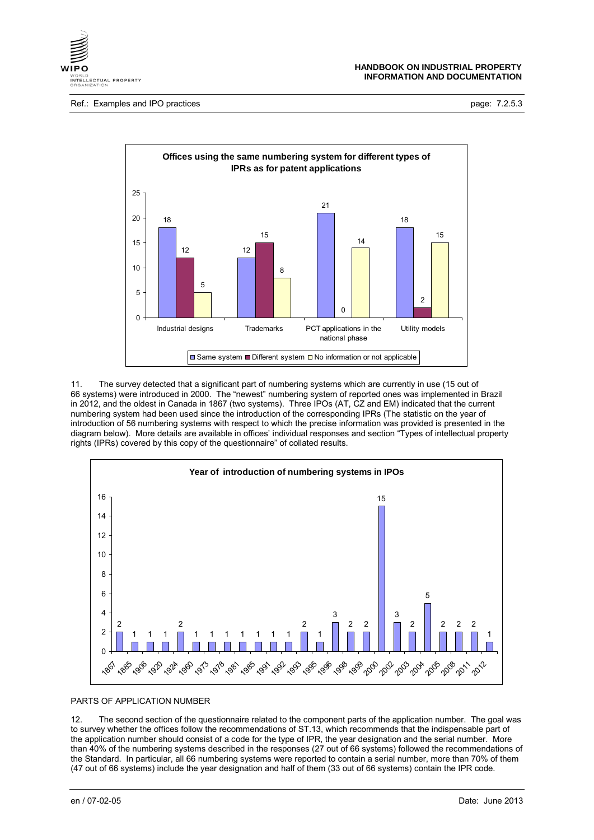

Ref.: Examples and IPO practices **page: 7.2.5.3** page: 7.2.5.3



11. The survey detected that a significant part of numbering systems which are currently in use (15 out of systems) were introduced in 2000. The "newest" numbering system of reported ones was implemented in Brazil in 2012, and the oldest in Canada in 1867 (two systems). Three IPOs (AT, CZ and EM) indicated that the current numbering system had been used since the introduction of the corresponding IPRs (The statistic on the year of introduction of 56 numbering systems with respect to which the precise information was provided is presented in the diagram below). More details are available in offices' individual responses and section "Types of intellectual property rights (IPRs) covered by this copy of the questionnaire" of collated results.



#### PARTS OF APPLICATION NUMBER

12. The second section of the questionnaire related to the component parts of the application number. The goal was to survey whether the offices follow the recommendations of ST.13, which recommends that the indispensable part of the application number should consist of a code for the type of IPR, the year designation and the serial number. More than 40% of the numbering systems described in the responses (27 out of 66 systems) followed the recommendations of the Standard. In particular, all 66 numbering systems were reported to contain a serial number, more than 70% of them (47 out of 66 systems) include the year designation and half of them (33 out of 66 systems) contain the IPR code.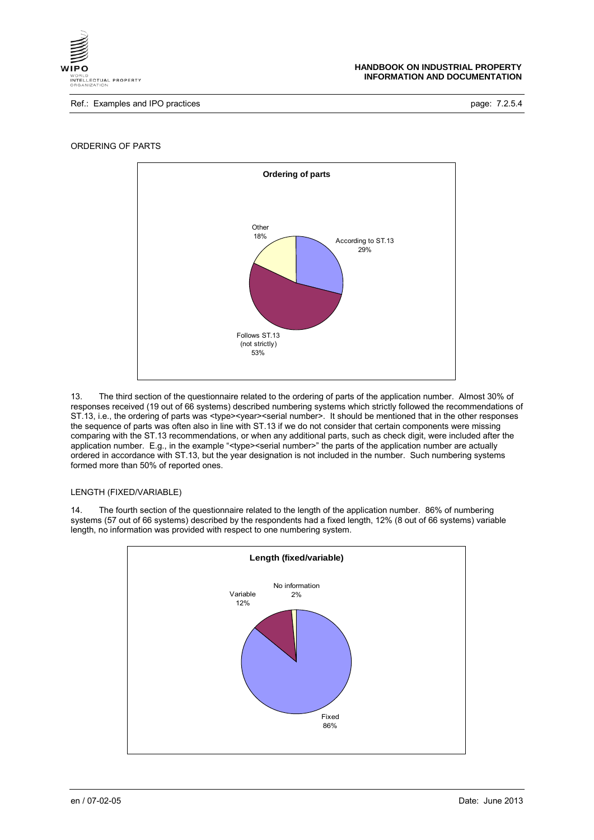

Ref.: Examples and IPO practices **page: 7.2.5.4** page: 7.2.5.4



ORDERING OF PARTS

13. The third section of the questionnaire related to the ordering of parts of the application number. Almost 30% of responses received (19 out of 66 systems) described numbering systems which strictly followed the recommendations of ST.13, i.e., the ordering of parts was <type><year><serial number>. It should be mentioned that in the other responses the sequence of parts was often also in line with ST.13 if we do not consider that certain components were missing comparing with the ST.13 recommendations, or when any additional parts, such as check digit, were included after the application number. E.g., in the example "<type><serial number>" the parts of the application number are actually ordered in accordance with ST.13, but the year designation is not included in the number. Such numbering systems formed more than 50% of reported ones.

## LENGTH (FIXED/VARIABLE)

14. The fourth section of the questionnaire related to the length of the application number. 86% of numbering systems (57 out of 66 systems) described by the respondents had a fixed length, 12% (8 out of 66 systems) variable length, no information was provided with respect to one numbering system.

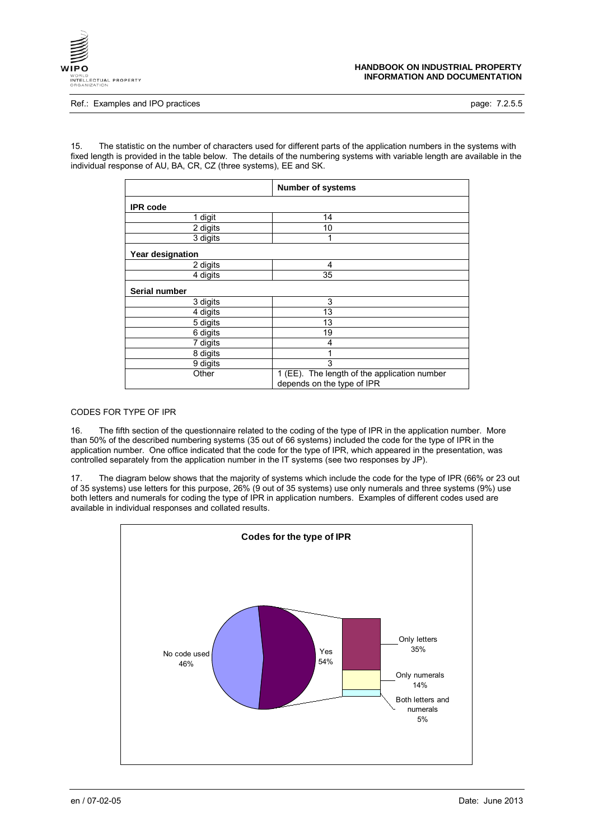

#### **HANDBOOK ON INDUSTRIAL PROPERTY INFORMATION AND DOCUMENTATION**

Ref.: Examples and IPO practices **page: 7.2.5.5** page: 7.2.5.5

15. The statistic on the number of characters used for different parts of the application numbers in the systems with fixed length is provided in the table below. The details of the numbering systems with variable length are available in the individual response of AU, BA, CR, CZ (three systems), EE and SK.

|                  | <b>Number of systems</b>                                                   |  |  |
|------------------|----------------------------------------------------------------------------|--|--|
| <b>IPR</b> code  |                                                                            |  |  |
| 1 digit          | 14                                                                         |  |  |
| 2 digits         | 10                                                                         |  |  |
| 3 digits         | 1                                                                          |  |  |
| Year designation |                                                                            |  |  |
| 2 digits         | 4                                                                          |  |  |
| 4 digits         | 35                                                                         |  |  |
| Serial number    |                                                                            |  |  |
| 3 digits         | 3                                                                          |  |  |
| 4 digits         | 13                                                                         |  |  |
| 5 digits         | 13                                                                         |  |  |
| 6 digits         | 19                                                                         |  |  |
| 7 digits         | 4                                                                          |  |  |
| 8 digits         |                                                                            |  |  |
| 9 digits         | 3                                                                          |  |  |
| Other            | 1 (EE). The length of the application number<br>depends on the type of IPR |  |  |

## CODES FOR TYPE OF IPR

16. The fifth section of the questionnaire related to the coding of the type of IPR in the application number. More than 50% of the described numbering systems (35 out of 66 systems) included the code for the type of IPR in the application number. One office indicated that the code for the type of IPR, which appeared in the presentation, was controlled separately from the application number in the IT systems (see two responses by JP).

17. The diagram below shows that the majority of systems which include the code for the type of IPR (66% or 23 out of 35 systems) use letters for this purpose, 26% (9 out of 35 systems) use only numerals and three systems (9%) use both letters and numerals for coding the type of IPR in application numbers. Examples of different codes used are available in individual responses and collated results.

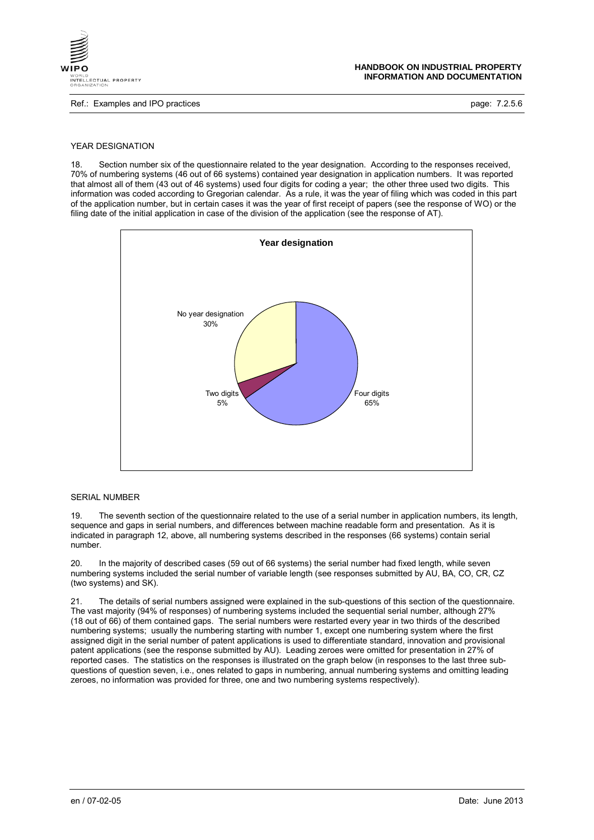

Ref.: Examples and IPO practices **page: 7.2.5.6** page: 7.2.5.6

## YEAR DESIGNATION

18. Section number six of the questionnaire related to the year designation. According to the responses received, 70% of numbering systems (46 out of 66 systems) contained year designation in application numbers. It was reported that almost all of them (43 out of 46 systems) used four digits for coding a year; the other three used two digits. This information was coded according to Gregorian calendar. As a rule, it was the year of filing which was coded in this part of the application number, but in certain cases it was the year of first receipt of papers (see the response of WO) or the filing date of the initial application in case of the division of the application (see the response of AT).



## SERIAL NUMBER

19. The seventh section of the questionnaire related to the use of a serial number in application numbers, its length, sequence and gaps in serial numbers, and differences between machine readable form and presentation. As it is indicated in paragraph 12, above, all numbering systems described in the responses (66 systems) contain serial number.

20. In the majority of described cases (59 out of 66 systems) the serial number had fixed length, while seven numbering systems included the serial number of variable length (see responses submitted by AU, BA, CO, CR, CZ (two systems) and SK).

21. The details of serial numbers assigned were explained in the sub-questions of this section of the questionnaire. The vast majority (94% of responses) of numbering systems included the sequential serial number, although 27% (18 out of 66) of them contained gaps. The serial numbers were restarted every year in two thirds of the described numbering systems; usually the numbering starting with number 1, except one numbering system where the first assigned digit in the serial number of patent applications is used to differentiate standard, innovation and provisional patent applications (see the response submitted by AU). Leading zeroes were omitted for presentation in 27% of reported cases. The statistics on the responses is illustrated on the graph below (in responses to the last three subquestions of question seven, i.e., ones related to gaps in numbering, annual numbering systems and omitting leading zeroes, no information was provided for three, one and two numbering systems respectively).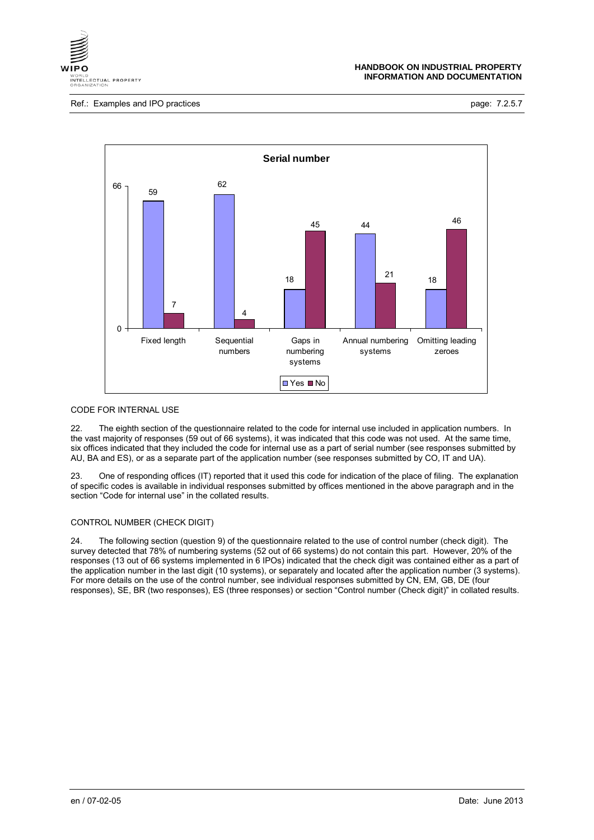

Ref.: Examples and IPO practices **page: 7.2.5.7** page: 7.2.5.7



## CODE FOR INTERNAL USE

22. The eighth section of the questionnaire related to the code for internal use included in application numbers. In the vast majority of responses (59 out of 66 systems), it was indicated that this code was not used. At the same time, six offices indicated that they included the code for internal use as a part of serial number (see responses submitted by AU, BA and ES), or as a separate part of the application number (see responses submitted by CO, IT and UA).

23. One of responding offices (IT) reported that it used this code for indication of the place of filing. The explanation of specific codes is available in individual responses submitted by offices mentioned in the above paragraph and in the section "Code for internal use" in the collated results.

## CONTROL NUMBER (CHECK DIGIT)

24. The following section (question 9) of the questionnaire related to the use of control number (check digit). The survey detected that 78% of numbering systems (52 out of 66 systems) do not contain this part. However, 20% of the responses (13 out of 66 systems implemented in 6 IPOs) indicated that the check digit was contained either as a part of the application number in the last digit (10 systems), or separately and located after the application number (3 systems). For more details on the use of the control number, see individual responses submitted by CN, EM, GB, DE (four responses), SE, BR (two responses), ES (three responses) or section "Control number (Check digit)" in collated results.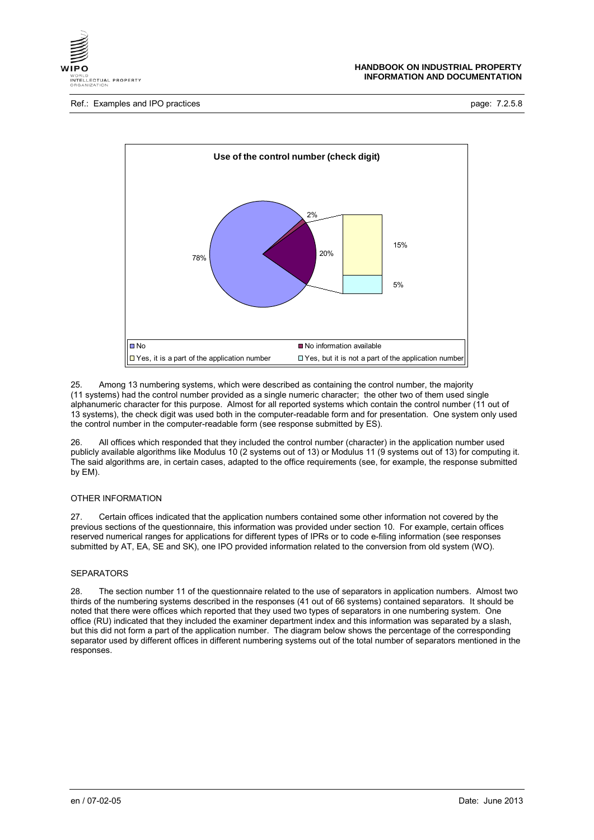

Ref.: Examples and IPO practices **page: 7.2.5.8** page: 7.2.5.8



25. Among 13 numbering systems, which were described as containing the control number, the majority (11 systems) had the control number provided as a single numeric character; the other two of them used single alphanumeric character for this purpose. Almost for all reported systems which contain the control number (11 out of 13 systems), the check digit was used both in the computer-readable form and for presentation. One system only used the control number in the computer-readable form (see response submitted by ES).

26. All offices which responded that they included the control number (character) in the application number used publicly available algorithms like Modulus 10 (2 systems out of 13) or Modulus 11 (9 systems out of 13) for computing it. The said algorithms are, in certain cases, adapted to the office requirements (see, for example, the response submitted by EM).

## OTHER INFORMATION

27. Certain offices indicated that the application numbers contained some other information not covered by the previous sections of the questionnaire, this information was provided under section 10. For example, certain offices reserved numerical ranges for applications for different types of IPRs or to code e-filing information (see responses submitted by AT, EA, SE and SK), one IPO provided information related to the conversion from old system (WO).

#### **SEPARATORS**

28. The section number 11 of the questionnaire related to the use of separators in application numbers. Almost two thirds of the numbering systems described in the responses (41 out of 66 systems) contained separators. It should be noted that there were offices which reported that they used two types of separators in one numbering system. One office (RU) indicated that they included the examiner department index and this information was separated by a slash, but this did not form a part of the application number. The diagram below shows the percentage of the corresponding separator used by different offices in different numbering systems out of the total number of separators mentioned in the responses.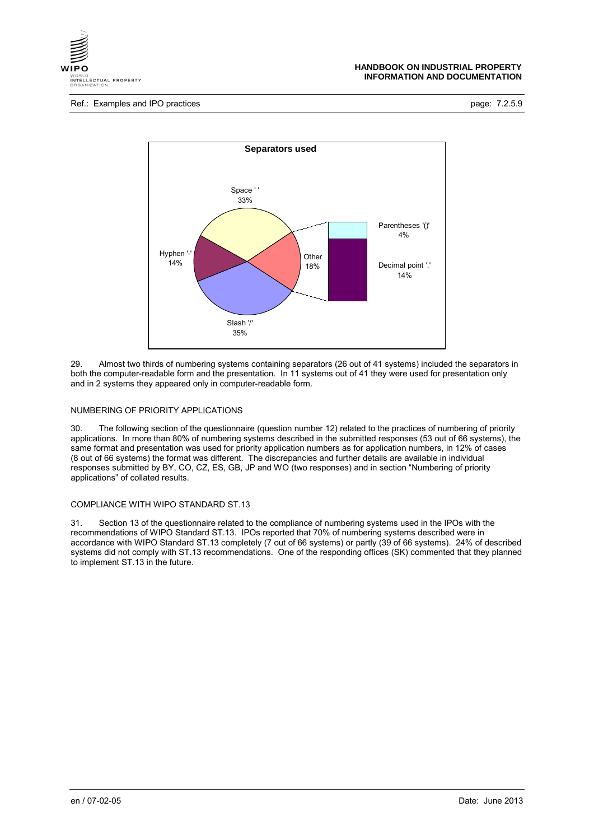



29. Almost two thirds of numbering systems containing separators (26 out of 41 systems) included the separators in both the computer-readable form and the presentation. In 11 systems out of 41 they were used for presentation only and in 2 systems they appeared only in computer-readable form.

#### NUMBERING OF PRIORITY APPLICATIONS

30. The following section of the questionnaire (question number 12) related to the practices of numbering of priority applications. In more than 80% of numbering systems described in the submitted responses (53 out of 66 systems), the same format and presentation was used for priority application numbers as for application numbers, in 12% of cases (8 out of 66 systems) the format was different. The discrepancies and further details are available in individual responses submitted by BY, CO, CZ, ES, GB, JP and WO (two responses) and in section "Numbering of priority applications" of collated results.

#### COMPLIANCE WITH WIPO STANDARD ST.13

31. Section 13 of the questionnaire related to the compliance of numbering systems used in the IPOs with the recommendations of WIPO Standard ST.13. IPOs reported that 70% of numbering systems described were in accordance with WIPO Standard ST.13 completely (7 out of 66 systems) or partly (39 of 66 systems). 24% of described systems did not comply with ST.13 recommendations. One of the responding offices (SK) commented that they planned to implement ST.13 in the future.